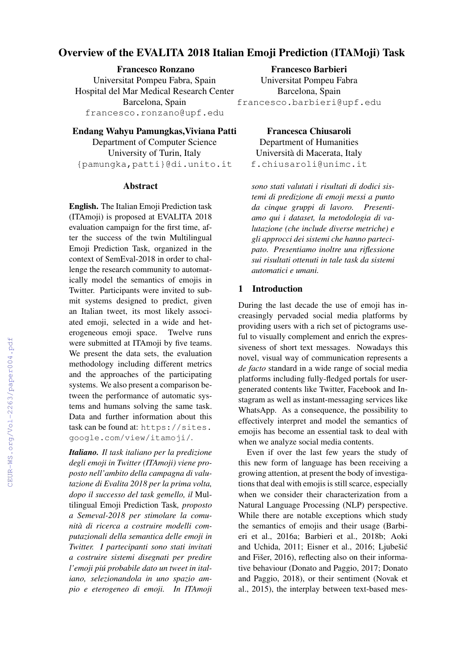# Overview of the EVALITA 2018 Italian Emoji Prediction (ITAMoji) Task

Francesco Ronzano Universitat Pompeu Fabra, Spain Hospital del Mar Medical Research Center Barcelona, Spain francesco.ronzano@upf.edu

Endang Wahyu Pamungkas,Viviana Patti Department of Computer Science University of Turin, Italy {pamungka,patti}@di.unito.it

#### Abstract

English. The Italian Emoji Prediction task (ITAmoji) is proposed at EVALITA 2018 evaluation campaign for the first time, after the success of the twin Multilingual Emoji Prediction Task, organized in the context of SemEval-2018 in order to challenge the research community to automatically model the semantics of emojis in Twitter. Participants were invited to submit systems designed to predict, given an Italian tweet, its most likely associated emoji, selected in a wide and heterogeneous emoji space. Twelve runs were submitted at ITAmoji by five teams. We present the data sets, the evaluation methodology including different metrics and the approaches of the participating systems. We also present a comparison between the performance of automatic systems and humans solving the same task. Data and further information about this task can be found at: https://sites. google.com/view/itamoji/.

*Italiano. Il task italiano per la predizione degli emoji in Twitter (ITAmoji) viene proposto nell'ambito della campagna di valutazione di Evalita 2018 per la prima volta, dopo il successo del task gemello, il* Multilingual Emoji Prediction Task*, proposto a Semeval-2018 per stimolare la comunità di ricerca a costruire modelli computazionali della semantica delle emoji in Twitter. I partecipanti sono stati invitati a costruire sistemi disegnati per predire l'emoji piú probabile dato un tweet in italiano, selezionandola in uno spazio ampio e eterogeneo di emoji. In ITAmoji*

Francesco Barbieri Universitat Pompeu Fabra Barcelona, Spain francesco.barbieri@upf.edu

Francesca Chiusaroli Department of Humanities Università di Macerata, Italy f.chiusaroli@unimc.it

*sono stati valutati i risultati di dodici sistemi di predizione di emoji messi a punto da cinque gruppi di lavoro. Presentiamo qui i dataset, la metodologia di valutazione (che include diverse metriche) e gli approcci dei sistemi che hanno partecipato. Presentiamo inoltre una riflessione sui risultati ottenuti in tale task da sistemi automatici e umani.*

#### 1 Introduction

During the last decade the use of emoji has increasingly pervaded social media platforms by providing users with a rich set of pictograms useful to visually complement and enrich the expressiveness of short text messages. Nowadays this novel, visual way of communication represents a *de facto* standard in a wide range of social media platforms including fully-fledged portals for usergenerated contents like Twitter, Facebook and Instagram as well as instant-messaging services like WhatsApp. As a consequence, the possibility to effectively interpret and model the semantics of emojis has become an essential task to deal with when we analyze social media contents.

Even if over the last few years the study of this new form of language has been receiving a growing attention, at present the body of investigations that deal with emojis is still scarce, especially when we consider their characterization from a Natural Language Processing (NLP) perspective. While there are notable exceptions which study the semantics of emojis and their usage (Barbieri et al., 2016a; Barbieri et al., 2018b; Aoki and Uchida, 2011; Eisner et al., 2016; Ljubešic´ and Fišer, 2016), reflecting also on their informative behaviour (Donato and Paggio, 2017; Donato and Paggio, 2018), or their sentiment (Novak et al., 2015), the interplay between text-based mes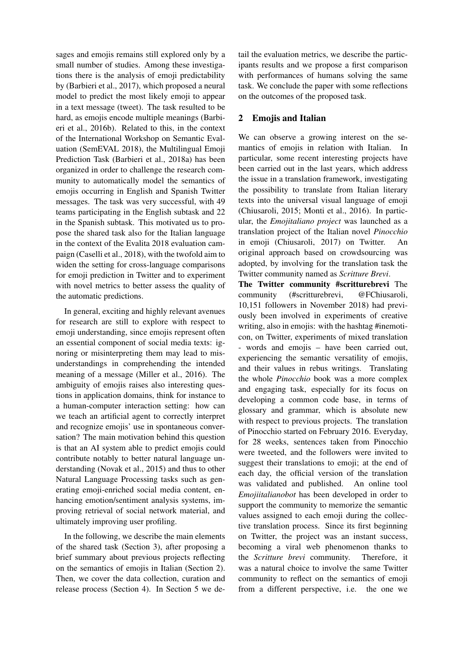sages and emojis remains still explored only by a small number of studies. Among these investigations there is the analysis of emoji predictability by (Barbieri et al., 2017), which proposed a neural model to predict the most likely emoji to appear in a text message (tweet). The task resulted to be hard, as emojis encode multiple meanings (Barbieri et al., 2016b). Related to this, in the context of the International Workshop on Semantic Evaluation (SemEVAL 2018), the Multilingual Emoji Prediction Task (Barbieri et al., 2018a) has been organized in order to challenge the research community to automatically model the semantics of emojis occurring in English and Spanish Twitter messages. The task was very successful, with 49 teams participating in the English subtask and 22 in the Spanish subtask. This motivated us to propose the shared task also for the Italian language in the context of the Evalita 2018 evaluation campaign (Caselli et al., 2018), with the twofold aim to widen the setting for cross-language comparisons for emoji prediction in Twitter and to experiment with novel metrics to better assess the quality of the automatic predictions.

In general, exciting and highly relevant avenues for research are still to explore with respect to emoji understanding, since emojis represent often an essential component of social media texts: ignoring or misinterpreting them may lead to misunderstandings in comprehending the intended meaning of a message (Miller et al., 2016). The ambiguity of emojis raises also interesting questions in application domains, think for instance to a human-computer interaction setting: how can we teach an artificial agent to correctly interpret and recognize emojis' use in spontaneous conversation? The main motivation behind this question is that an AI system able to predict emojis could contribute notably to better natural language understanding (Novak et al., 2015) and thus to other Natural Language Processing tasks such as generating emoji-enriched social media content, enhancing emotion/sentiment analysis systems, improving retrieval of social network material, and ultimately improving user profiling.

In the following, we describe the main elements of the shared task (Section 3), after proposing a brief summary about previous projects reflecting on the semantics of emojis in Italian (Section 2). Then, we cover the data collection, curation and release process (Section 4). In Section 5 we detail the evaluation metrics, we describe the participants results and we propose a first comparison with performances of humans solving the same task. We conclude the paper with some reflections on the outcomes of the proposed task.

### 2 Emojis and Italian

We can observe a growing interest on the semantics of emojis in relation with Italian. In particular, some recent interesting projects have been carried out in the last years, which address the issue in a translation framework, investigating the possibility to translate from Italian literary texts into the universal visual language of emoji (Chiusaroli, 2015; Monti et al., 2016). In particular, the *Emojitaliano project* was launched as a translation project of the Italian novel *Pinocchio* in emoji (Chiusaroli, 2017) on Twitter. An original approach based on crowdsourcing was adopted, by involving for the translation task the Twitter community named as *Scritture Brevi*.

The Twitter community #scritturebrevi The community (#scritturebrevi, @FChiusaroli, 10,151 followers in November 2018) had previously been involved in experiments of creative writing, also in emojis: with the hashtag #inemoticon, on Twitter, experiments of mixed translation - words and emojis – have been carried out, experiencing the semantic versatility of emojis, and their values in rebus writings. Translating the whole *Pinocchio* book was a more complex and engaging task, especially for its focus on developing a common code base, in terms of glossary and grammar, which is absolute new with respect to previous projects. The translation of Pinocchio started on February 2016. Everyday, for 28 weeks, sentences taken from Pinocchio were tweeted, and the followers were invited to suggest their translations to emoji; at the end of each day, the official version of the translation was validated and published. An online tool *Emojiitalianobot* has been developed in order to support the community to memorize the semantic values assigned to each emoji during the collective translation process. Since its first beginning on Twitter, the project was an instant success, becoming a viral web phenomenon thanks to the *Scritture brevi* community. Therefore, it was a natural choice to involve the same Twitter community to reflect on the semantics of emoji from a different perspective, i.e. the one we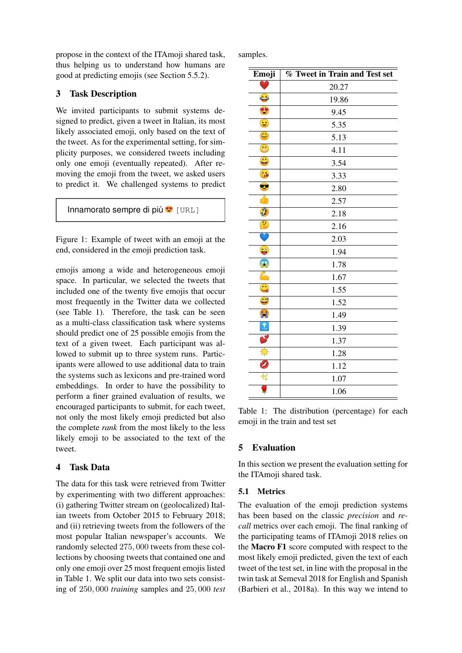propose in the context of the ITAmoji shared task, thus helping us to understand how humans are good at predicting emojis (see Section 5.5.2).

## 3 Task Description

We invited participants to submit systems designed to predict, given a tweet in Italian, its most likely associated emoji, only based on the text of the tweet. As for the experimental setting, for simplicity purposes, we considered tweets including only one emoji (eventually repeated). After removing the emoji from the tweet, we asked users to predict it. We challenged systems to predict



Figure 1: Example of tweet with an emoji at the end, considered in the emoji prediction task.

emojis among a wide and heterogeneous emoji space. In particular, we selected the tweets that included one of the twenty five emojis that occur most frequently in the Twitter data we collected (see Table 1). Therefore, the task can be seen as a multi-class classification task where systems should predict one of 25 possible emojis from the text of a given tweet. Each participant was allowed to submit up to three system runs. Participants were allowed to use additional data to train the systems such as lexicons and pre-trained word embeddings. In order to have the possibility to perform a finer grained evaluation of results, we encouraged participants to submit, for each tweet, not only the most likely emoji predicted but also the complete *rank* from the most likely to the less likely emoji to be associated to the text of the tweet.

## 4 Task Data

The data for this task were retrieved from Twitter by experimenting with two different approaches: (i) gathering Twitter stream on (geolocalized) Italian tweets from October 2015 to February 2018; and (ii) retrieving tweets from the followers of the most popular Italian newspaper's accounts. We randomly selected 275, 000 tweets from these collections by choosing tweets that contained one and only one emoji over 25 most frequent emojis listed in Table 1. We split our data into two sets consisting of 250, 000 *training* samples and 25, 000 *test* samples.

| Emoji                                                     | % Tweet in Train and Test set |
|-----------------------------------------------------------|-------------------------------|
|                                                           | 20.27                         |
| $\bullet$                                                 | 19.86                         |
| B                                                         | 9.45                          |
| $\bullet$                                                 | 5.35                          |
| $\ddot{\mathbf{c}}$                                       | 5.13                          |
| $\bigoplus$                                               | 4.11                          |
| $\mathbf{G}$                                              | 3.54                          |
| $\frac{1}{3}$                                             | 3.33                          |
| ❤                                                         | 2.80                          |
| 小                                                         | 2.57                          |
| $\sqrt{2}$                                                | 2.18                          |
| $\mathbf{S}$                                              | 2.16                          |
|                                                           | 2.03                          |
| $\bullet$                                                 | 1.94                          |
| \$                                                        | 1.78                          |
| $\mathcal{L}% _{M_{1},M_{2}}^{\alpha,\beta}(\varepsilon)$ | 1.67                          |
| $\ddot{\mathbf{c}}$                                       | 1.55                          |
| C                                                         | 1.52                          |
| ÍÌ                                                        | 1.49                          |
| $\uparrow$ <sub>TOP</sub>                                 | 1.39                          |
|                                                           | 1.37                          |
| ☀                                                         | 1.28                          |
| Ø                                                         | 1.12                          |
|                                                           | 1.07                          |
|                                                           | 1.06                          |

Table 1: The distribution (percentage) for each emoji in the train and test set

# 5 Evaluation

In this section we present the evaluation setting for the ITAmoji shared task.

## 5.1 Metrics

The evaluation of the emoji prediction systems has been based on the classic *precision* and *recall* metrics over each emoji. The final ranking of the participating teams of ITAmoji 2018 relies on the Macro F1 score computed with respect to the most likely emoji predicted, given the text of each tweet of the test set, in line with the proposal in the twin task at Semeval 2018 for English and Spanish (Barbieri et al., 2018a). In this way we intend to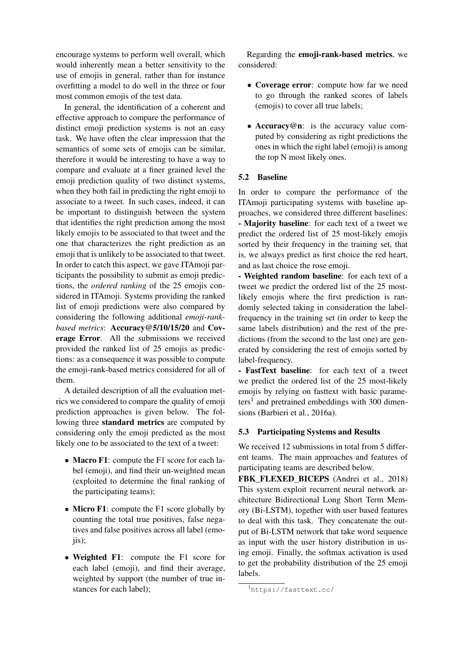encourage systems to perform well overall, which would inherently mean a better sensitivity to the use of emojis in general, rather than for instance overfitting a model to do well in the three or four most common emojis of the test data.

In general, the identification of a coherent and effective approach to compare the performance of distinct emoji prediction systems is not an easy task. We have often the clear impression that the semantics of some sets of emojis can be similar, therefore it would be interesting to have a way to compare and evaluate at a finer grained level the emoji prediction quality of two distinct systems, when they both fail in predicting the right emoji to associate to a tweet. In such cases, indeed, it can be important to distinguish between the system that identifies the right prediction among the most likely emojis to be associated to that tweet and the one that characterizes the right prediction as an emoji that is unlikely to be associated to that tweet. In order to catch this aspect, we gave ITAmoji participants the possibility to submit as emoji predictions, the *ordered ranking* of the 25 emojis considered in ITAmoji. Systems providing the ranked list of emoji predictions were also compared by considering the following additional *emoji-rankbased metrics*: Accuracy@5/10/15/20 and Coverage Error. All the submissions we received provided the ranked list of 25 emojis as predictions: as a consequence it was possible to compute the emoji-rank-based metrics considered for all of them.

A detailed description of all the evaluation metrics we considered to compare the quality of emoji prediction approaches is given below. The following three standard metrics are computed by considering only the emoji predicted as the most likely one to be associated to the text of a tweet:

- Macro F1: compute the F1 score for each label (emoji), and find their un-weighted mean (exploited to determine the final ranking of the participating teams);
- Micro F1: compute the F1 score globally by counting the total true positives, false negatives and false positives across all label (emo $i$ is);
- Weighted F1: compute the F1 score for each label (emoji), and find their average, weighted by support (the number of true instances for each label);

Regarding the emoji-rank-based metrics, we considered:

- Coverage error: compute how far we need to go through the ranked scores of labels (emojis) to cover all true labels;
- Accuracy@n: is the accuracy value computed by considering as right predictions the ones in which the right label (emoji) is among the top N most likely ones.

### 5.2 Baseline

In order to compare the performance of the ITAmoji participating systems with baseline approaches, we considered three different baselines: - Majority baseline: for each text of a tweet we predict the ordered list of 25 most-likely emojis sorted by their frequency in the training set, that is, we always predict as first choice the red heart, and as last choice the rose emoji.

- Weighted random baseline: for each text of a tweet we predict the ordered list of the 25 mostlikely emojis where the first prediction is randomly selected taking in consideration the labelfrequency in the training set (in order to keep the same labels distribution) and the rest of the predictions (from the second to the last one) are generated by considering the rest of emojis sorted by label-frequency.

- FastText baseline: for each text of a tweet we predict the ordered list of the 25 most-likely emojis by relying on fasttext with basic parameters<sup>1</sup> and pretrained embeddings with 300 dimensions (Barbieri et al., 2016a).

#### 5.3 Participating Systems and Results

We received 12 submissions in total from 5 different teams. The main approaches and features of participating teams are described below.

FBK\_FLEXED\_BICEPS (Andrei et al., 2018) This system exploit recurrent neural network architecture Bidirectional Long Short Term Memory (Bi-LSTM), together with user based features to deal with this task. They concatenate the output of Bi-LSTM network that take word sequence as input with the user history distribution in using emoji. Finally, the softmax activation is used to get the probability distribution of the 25 emoji labels.

<sup>1</sup>https://fasttext.cc/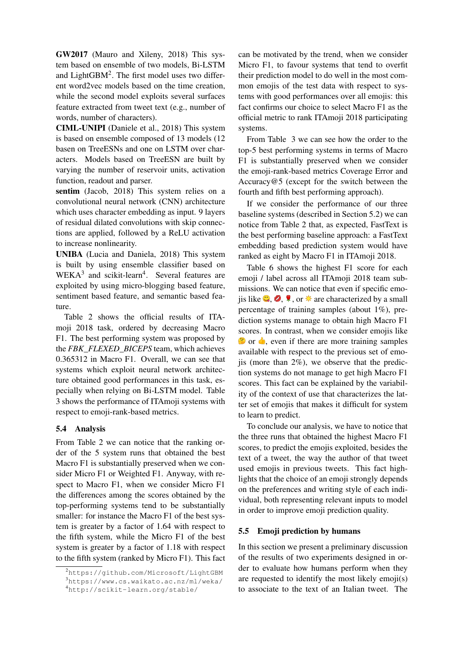GW2017 (Mauro and Xileny, 2018) This system based on ensemble of two models, Bi-LSTM and LightGBM<sup>2</sup>. The first model uses two different word2vec models based on the time creation, while the second model exploits several surfaces feature extracted from tweet text (e.g., number of words, number of characters).

CIML-UNIPI (Daniele et al., 2018) This system is based on ensemble composed of 13 models (12 basen on TreeESNs and one on LSTM over characters. Models based on TreeESN are built by varying the number of reservoir units, activation function, readout and parser.

sentim (Jacob, 2018) This system relies on a convolutional neural network (CNN) architecture which uses character embedding as input. 9 layers of residual dilated convolutions with skip connections are applied, followed by a ReLU activation to increase nonlinearity.

UNIBA (Lucia and Daniela, 2018) This system is built by using ensemble classifier based on  $WEXA<sup>3</sup>$  and scikit-learn<sup>4</sup>. Several features are exploited by using micro-blogging based feature, sentiment based feature, and semantic based feature.

Table 2 shows the official results of ITAmoji 2018 task, ordered by decreasing Macro F1. The best performing system was proposed by the *FBK\_FLEXED\_BICEPS* team, which achieves 0.365312 in Macro F1. Overall, we can see that systems which exploit neural network architecture obtained good performances in this task, especially when relying on Bi-LSTM model. Table 3 shows the performance of ITAmoji systems with respect to emoji-rank-based metrics.

#### 5.4 Analysis

From Table 2 we can notice that the ranking order of the 5 system runs that obtained the best Macro F1 is substantially preserved when we consider Micro F1 or Weighted F1. Anyway, with respect to Macro F1, when we consider Micro F1 the differences among the scores obtained by the top-performing systems tend to be substantially smaller: for instance the Macro F1 of the best system is greater by a factor of 1.64 with respect to the fifth system, while the Micro F1 of the best system is greater by a factor of 1.18 with respect to the fifth system (ranked by Micro F1). This fact

can be motivated by the trend, when we consider Micro F1, to favour systems that tend to overfit their prediction model to do well in the most common emojis of the test data with respect to systems with good performances over all emojis: this fact confirms our choice to select Macro F1 as the official metric to rank ITAmoji 2018 participating systems.

From Table 3 we can see how the order to the top-5 best performing systems in terms of Macro F1 is substantially preserved when we consider the emoji-rank-based metrics Coverage Error and Accuracy@5 (except for the switch between the fourth and fifth best performing approach).

If we consider the performance of our three baseline systems (described in Section 5.2) we can notice from Table 2 that, as expected, FastText is the best performing baseline approach: a FastText embedding based prediction system would have ranked as eight by Macro F1 in ITAmoji 2018.

Table 6 shows the highest F1 score for each emoji / label across all ITAmoji 2018 team submissions. We can notice that even if specific emois like  $\bigcirc$ ,  $\bigcirc$ ,  $\uparrow$ , or  $\mathcal{H}$  are characterized by a small percentage of training samples (about 1%), prediction systems manage to obtain high Macro F1 scores. In contrast, when we consider emojis like  $\bullet$  or  $\bullet$ , even if there are more training samples available with respect to the previous set of emojis (more than  $2\%$ ), we observe that the prediction systems do not manage to get high Macro F1 scores. This fact can be explained by the variability of the context of use that characterizes the latter set of emojis that makes it difficult for system to learn to predict.

To conclude our analysis, we have to notice that the three runs that obtained the highest Macro F1 scores, to predict the emojis exploited, besides the text of a tweet, the way the author of that tweet used emojis in previous tweets. This fact highlights that the choice of an emoji strongly depends on the preferences and writing style of each individual, both representing relevant inputs to model in order to improve emoji prediction quality.

#### 5.5 Emoji prediction by humans

In this section we present a preliminary discussion of the results of two experiments designed in order to evaluate how humans perform when they are requested to identify the most likely emoji(s) to associate to the text of an Italian tweet. The

 $^{2}$ https://github.com/Microsoft/LightGBM <sup>3</sup>https://www.cs.waikato.ac.nz/ml/weka/

<sup>4</sup>http://scikit-learn.org/stable/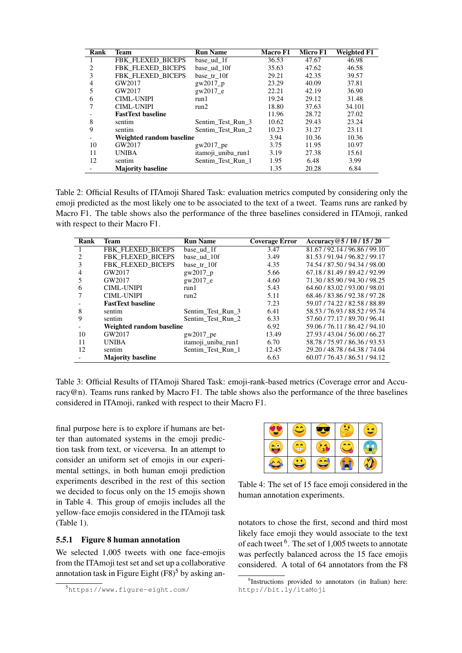| Rank | Team                     | <b>Run Name</b>    | Macro F1 | Micro F1 | <b>Weighted F1</b> |
|------|--------------------------|--------------------|----------|----------|--------------------|
|      | FBK FLEXED BICEPS        | base ud 1f         | 36.53    | 47.67    | 46.98              |
| 2    | FBK FLEXED BICEPS        | base ud 10f        | 35.63    | 47.62    | 46.58              |
| 3    | FBK FLEXED BICEPS        | base tr 10f        | 29.21    | 42.35    | 39.57              |
| 4    | GW2017                   | $g$ w $2017$ p     | 23.29    | 40.09    | 37.81              |
| 5    | GW2017                   | gw2017_e           | 22.21    | 42.19    | 36.90              |
| 6    | <b>CIML-UNIPI</b>        | run1               | 19.24    | 29.12    | 31.48              |
| 7    | <b>CIML-UNIPI</b>        | run2               | 18.80    | 37.63    | 34.101             |
|      | <b>FastText baseline</b> |                    | 11.96    | 28.72    | 27.02              |
| 8    | sentim                   | Sentim Test Run 3  | 10.62    | 29.43    | 23.24              |
| 9    | sentim                   | Sentim Test Run 2  | 10.23    | 31.27    | 23.11              |
|      | Weighted random baseline |                    | 3.94     | 10.36    | 10.36              |
| 10   | GW2017                   | $g_{W}2017$ pe     | 3.75     | 11.95    | 10.97              |
| 11   | <b>UNIBA</b>             | itamoji_uniba_run1 | 3.19     | 27.38    | 15.61              |
| 12   | sentim                   | Sentim Test Run 1  | 1.95     | 6.48     | 3.99               |
|      | <b>Majority baseline</b> |                    | 1.35     | 20.28    | 6.84               |

Table 2: Official Results of ITAmoji Shared Task: evaluation metrics computed by considering only the emoji predicted as the most likely one to be associated to the text of a tweet. Teams runs are ranked by Macro F1. The table shows also the performance of the three baselines considered in ITAmoji, ranked with respect to their Macro F1.

| Rank | Team                     | <b>Run Name</b>    | <b>Coverage Error</b> | Accuracy@5/10/15/20           |
|------|--------------------------|--------------------|-----------------------|-------------------------------|
|      | <b>FBK FLEXED BICEPS</b> | base_ud_1f         | 3.47                  | 81.67/92.14/96.86/99.10       |
| 2    | FBK_FLEXED_BICEPS        | base_ud_10f        | 3.49                  | 81.53/91.94/96.82/99.17       |
|      | <b>FBK FLEXED BICEPS</b> | base tr 10f        | 4.35                  | 74.54 / 87.50 / 94.34 / 98.00 |
|      | GW2017                   | $g$ w $2017$ p     | 5.66                  | 67.18 / 81.49 / 89.42 / 92.99 |
| 5    | GW2017                   | gw2017 e           | 4.60                  | 71.30 / 85.90 / 94.30 / 98.25 |
| 6    | CIML-UNIPI               | run1               | 5.43                  | 64.60 / 83.02 / 93.00 / 98.01 |
|      | <b>CIML-UNIPI</b>        | run2               | 5.11                  | 68.46 / 83.86 / 92.38 / 97.28 |
|      | <b>FastText baseline</b> |                    | 7.23                  | 59.07 / 74.22 / 82.58 / 88.89 |
| 8    | sentim                   | Sentim Test Run 3  | 6.41                  | 58.53 / 76.93 / 88.52 / 95.74 |
| 9    | sentim                   | Sentim Test Run 2  | 6.33                  | 57.60 / 77.17 / 89.70 / 96.41 |
|      | Weighted random baseline |                    | 6.92                  | 59.06/76.11/86.42/94.10       |
| 10   | GW2017                   | $g$ w $2017$ pe    | 13.49                 | 27.93 / 43.04 / 56.00 / 66.27 |
| 11   | <b>UNIBA</b>             | itamoji_uniba_run1 | 6.70                  | 58.78 / 75.97 / 86.36 / 93.53 |
| 12   | sentim                   | Sentim Test Run 1  | 12.45                 | 29.20 / 48.78 / 64.38 / 74.04 |
|      | <b>Majority baseline</b> |                    | 6.63                  | 60.07 / 76.43 / 86.51 / 94.12 |

Table 3: Official Results of ITAmoji Shared Task: emoji-rank-based metrics (Coverage error and Accuracy@n). Teams runs ranked by Macro F1. The table shows also the performance of the three baselines considered in ITAmoji, ranked with respect to their Macro F1.

final purpose here is to explore if humans are better than automated systems in the emoji prediction task from text, or viceversa. In an attempt to consider an uniform set of emojis in our experimental settings, in both human emoji prediction experiments described in the rest of this section we decided to focus only on the 15 emojis shown in Table 4. This group of emojis includes all the yellow-face emojis considered in the ITAmoji task (Table 1).

### 5.5.1 Figure 8 human annotation

We selected 1,005 tweets with one face-emojis from the ITAmoji test set and set up a collaborative annotation task in Figure Eight  $(F8)^5$  by asking an-

Table 4: The set of 15 face emoji considered in the human annotation experiments.

notators to chose the first, second and third most likely face emoji they would associate to the text of each tweet <sup>6</sup>. The set of 1,005 tweets to annotate was perfectly balanced across the 15 face emojis considered. A total of 64 annotators from the F8

<sup>5</sup>https://www.figure-eight.com/

<sup>6</sup> Instructions provided to annotators (in Italian) here: http://bit.ly/itaMoji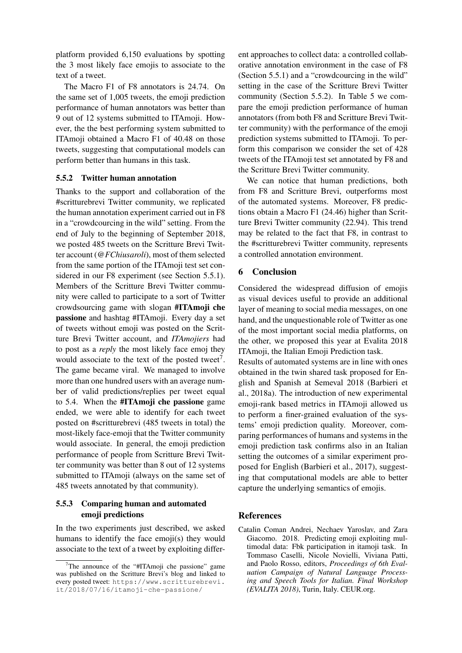platform provided 6,150 evaluations by spotting the 3 most likely face emojis to associate to the text of a tweet.

The Macro F1 of F8 annotators is 24.74. On the same set of 1,005 tweets, the emoji prediction performance of human annotators was better than 9 out of 12 systems submitted to ITAmoji. However, the the best performing system submitted to ITAmoji obtained a Macro F1 of 40.48 on those tweets, suggesting that computational models can perform better than humans in this task.

#### 5.5.2 Twitter human annotation

Thanks to the support and collaboration of the #scritturebrevi Twitter community, we replicated the human annotation experiment carried out in F8 in a "crowdcourcing in the wild" setting. From the end of July to the beginning of September 2018, we posted 485 tweets on the Scritture Brevi Twitter account (*@FChiusaroli*), most of them selected from the same portion of the ITAmoji test set considered in our F8 experiment (see Section 5.5.1). Members of the Scritture Brevi Twitter community were called to participate to a sort of Twitter crowdsourcing game with slogan #ITAmoji che passione and hashtag #ITAmoji. Every day a set of tweets without emoji was posted on the Scritture Brevi Twitter account, and *ITAmojiers* had to post as a *reply* the most likely face emoj they would associate to the text of the posted tweet<sup>7</sup>. The game became viral. We managed to involve more than one hundred users with an average number of valid predictions/replies per tweet equal to 5.4. When the #ITAmoji che passione game ended, we were able to identify for each tweet posted on #scritturebrevi (485 tweets in total) the most-likely face-emoji that the Twitter community would associate. In general, the emoji prediction performance of people from Scritture Brevi Twitter community was better than 8 out of 12 systems submitted to ITAmoji (always on the same set of 485 tweets annotated by that community).

## 5.5.3 Comparing human and automated emoji predictions

In the two experiments just described, we asked humans to identify the face emoji(s) they would associate to the text of a tweet by exploiting differ-

ent approaches to collect data: a controlled collaborative annotation environment in the case of F8 (Section 5.5.1) and a "crowdcourcing in the wild" setting in the case of the Scritture Brevi Twitter community (Section 5.5.2). In Table 5 we compare the emoji prediction performance of human annotators (from both F8 and Scritture Brevi Twitter community) with the performance of the emoji prediction systems submitted to ITAmoji. To perform this comparison we consider the set of 428 tweets of the ITAmoji test set annotated by F8 and the Scritture Brevi Twitter community.

We can notice that human predictions, both from F8 and Scritture Brevi, outperforms most of the automated systems. Moreover, F8 predictions obtain a Macro F1 (24.46) higher than Scritture Brevi Twitter community (22.94). This trend may be related to the fact that F8, in contrast to the #scritturebrevi Twitter community, represents a controlled annotation environment.

## 6 Conclusion

Considered the widespread diffusion of emojis as visual devices useful to provide an additional layer of meaning to social media messages, on one hand, and the unquestionable role of Twitter as one of the most important social media platforms, on the other, we proposed this year at Evalita 2018 ITAmoji, the Italian Emoji Prediction task.

Results of automated systems are in line with ones obtained in the twin shared task proposed for English and Spanish at Semeval 2018 (Barbieri et al., 2018a). The introduction of new experimental emoji-rank based metrics in ITAmoji allowed us to perform a finer-grained evaluation of the systems' emoji prediction quality. Moreover, comparing performances of humans and systems in the emoji prediction task confirms also in an Italian setting the outcomes of a similar experiment proposed for English (Barbieri et al., 2017), suggesting that computational models are able to better capture the underlying semantics of emojis.

## **References**

Catalin Coman Andrei, Nechaev Yaroslav, and Zara Giacomo. 2018. Predicting emoji exploiting multimodal data: Fbk participation in itamoji task. In Tommaso Caselli, Nicole Novielli, Viviana Patti, and Paolo Rosso, editors, *Proceedings of 6th Evaluation Campaign of Natural Language Processing and Speech Tools for Italian. Final Workshop (EVALITA 2018)*, Turin, Italy. CEUR.org.

 $7$ The announce of the "#ITAmoji che passione" game was published on the Scritture Brevi's blog and linked to every posted tweet: https://www.scritturebrevi. it/2018/07/16/itamoji-che-passione/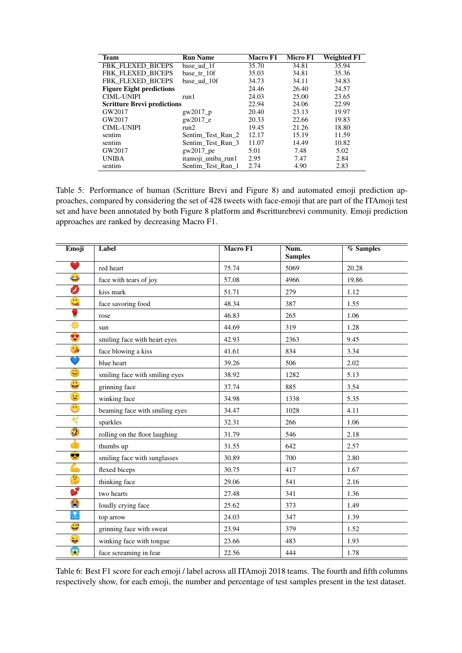| <b>Team</b>                        | <b>Run Name</b>    | <b>Macro F1</b> | Micro F1 | Weighted F1 |
|------------------------------------|--------------------|-----------------|----------|-------------|
| FBK FLEXED BICEPS                  | base ud 1f         | 35.70           | 34.81    | 35.94       |
| FBK FLEXED BICEPS                  | base tr 10f        | 35.03           | 34.81    | 35.36       |
| FBK FLEXED BICEPS                  | base ud 10f        | 34.73           | 34.11    | 34.83       |
| <b>Figure Eight predictions</b>    |                    | 24.46           | 26.40    | 24.57       |
| <b>CIML-UNIPI</b>                  | run 1              | 24.03           | 25.00    | 23.65       |
| <b>Scritture Brevi predictions</b> |                    | 22.94           | 24.06    | 22.99       |
| GW2017                             | $g(w2017_p)$       | 20.40           | 23.13    | 19.97       |
| GW2017                             | $g$ w $2017$ e     | 20.33           | 22.66    | 19.83       |
| <b>CIML-UNIPI</b>                  | run2               | 19.45           | 21.26    | 18.80       |
| sentim                             | Sentim Test Run 2  | 12.17           | 15.19    | 11.59       |
| sentim                             | Sentim_Test_Run_3  | 11.07           | 14.49    | 10.82       |
| GW2017                             | $g$ w $2017$ pe    | 5.01            | 7.48     | 5.02        |
| <b>UNIBA</b>                       | itamoji uniba run1 | 2.95            | 7.47     | 2.84        |
| sentim                             | Sentim Test Run 1  | 2.74            | 4.90     | 2.83        |

Table 5: Performance of human (Scritture Brevi and Figure 8) and automated emoji prediction approaches, compared by considering the set of 428 tweets with face-emoji that are part of the ITAmoji test set and have been annotated by both Figure 8 platform and #scritturebrevi community. Emoji prediction approaches are ranked by decreasing Macro F1.

| Emoji                     | <b>Label</b>                   | Macro F1 | Num.<br><b>Samples</b> | $%$ Samples |
|---------------------------|--------------------------------|----------|------------------------|-------------|
|                           | red heart                      | 75.74    | 5069                   | 20.28       |
| O                         | face with tears of joy         | 57.08    | 4966                   | 19.86       |
| Ø                         | kiss mark                      | 51.71    | 279                    | 1.12        |
| $\mathbb{C}$              | face savoring food             | 48.34    | 387                    | 1.55        |
| Ş                         | rose                           | 46.83    | 265                    | 1.06        |
| ₩                         | sun                            | 44.69    | 319                    | 1.28        |
| V                         | smiling face with heart eyes   | 42.93    | 2363                   | 9.45        |
| 36                        | face blowing a kiss            | 41.61    | 834                    | 3.34        |
| D                         | blue heart                     | 39.26    | 506                    | 2.02        |
| $\ddot{\mathbf{c}}$       | smiling face with smiling eyes | 38.92    | 1282                   | 5.13        |
| $\ddot{\bullet}$          | grinning face                  | 37.74    | 885                    | 3.54        |
| $\mathbf{G}$              | winking face                   | 34.98    | 1338                   | 5.35        |
| $\bigodot$                | beaming face with smiling eyes | 34.47    | 1028                   | 4.11        |
| 貸                         | sparkles                       | 32.31    | 266                    | 1.06        |
| $\sqrt{2}$                | rolling on the floor laughing  | 31.79    | 546                    | 2.18        |
| 小                         | thumbs up                      | 31.55    | 642                    | 2.57        |
| C                         | smiling face with sunglasses   | 30.89    | 700                    | 2.80        |
| $\mathbf{C}$              | flexed biceps                  | 30.75    | 417                    | 1.67        |
| $\mathbf{G}$              | thinking face                  | 29.06    | 541                    | 2.16        |
| B                         | two hearts                     | 27.48    | 341                    | 1.36        |
| Û                         | loudly crying face             | 25.62    | 373                    | 1.49        |
| $\uparrow$ <sub>TOP</sub> | top arrow                      | 24.03    | 347                    | 1.39        |
| $\ddot{\mathbf{c}}$       | grinning face with sweat       | 23.94    | 379                    | 1.52        |
| $\bullet$                 | winking face with tongue       | 23.66    | 483                    | 1.93        |
| \$                        | face screaming in fear         | 22.56    | 444                    | 1.78        |

Table 6: Best F1 score for each emoji / label across all ITAmoji 2018 teams. The fourth and fifth columns respectively show, for each emoji, the number and percentage of test samples present in the test dataset.